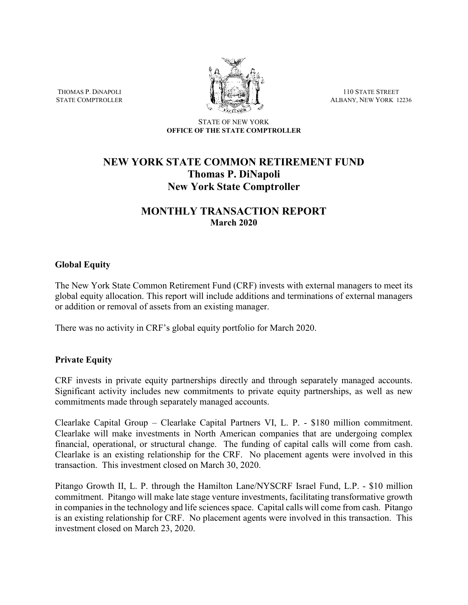THOMAS P. DiNAPOLI STATE COMPTROLLER



110 STATE STREET ALBANY, NEW YORK 12236

#### STATE OF NEW YORK **OFFICE OF THE STATE COMPTROLLER**

# **NEW YORK STATE COMMON RETIREMENT FUND Thomas P. DiNapoli New York State Comptroller**

# **MONTHLY TRANSACTION REPORT March 2020**

# **Global Equity**

The New York State Common Retirement Fund (CRF) invests with external managers to meet its global equity allocation. This report will include additions and terminations of external managers or addition or removal of assets from an existing manager.

There was no activity in CRF's global equity portfolio for March 2020.

### **Private Equity**

CRF invests in private equity partnerships directly and through separately managed accounts. Significant activity includes new commitments to private equity partnerships, as well as new commitments made through separately managed accounts.

Clearlake Capital Group – Clearlake Capital Partners VI, L. P. - \$180 million commitment. Clearlake will make investments in North American companies that are undergoing complex financial, operational, or structural change. The funding of capital calls will come from cash. Clearlake is an existing relationship for the CRF. No placement agents were involved in this transaction. This investment closed on March 30, 2020.

Pitango Growth II, L. P. through the Hamilton Lane/NYSCRF Israel Fund, L.P. - \$10 million commitment. Pitango will make late stage venture investments, facilitating transformative growth in companies in the technology and life sciences space. Capital calls will come from cash. Pitango is an existing relationship for CRF. No placement agents were involved in this transaction. This investment closed on March 23, 2020.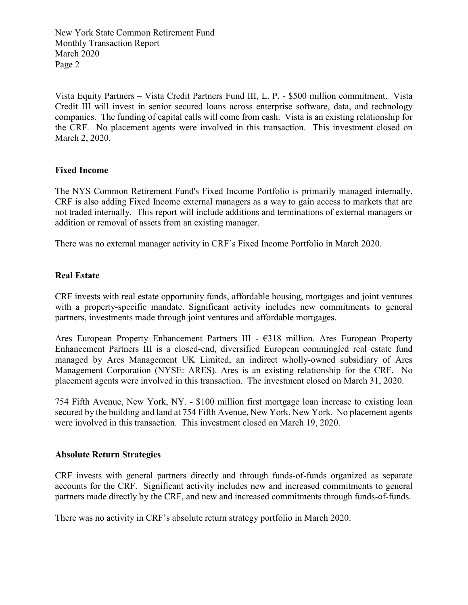New York State Common Retirement Fund Monthly Transaction Report March 2020 Page 2

Vista Equity Partners – Vista Credit Partners Fund III, L. P. - \$500 million commitment. Vista Credit III will invest in senior secured loans across enterprise software, data, and technology companies. The funding of capital calls will come from cash. Vista is an existing relationship for the CRF. No placement agents were involved in this transaction. This investment closed on March 2, 2020.

# **Fixed Income**

The NYS Common Retirement Fund's Fixed Income Portfolio is primarily managed internally. CRF is also adding Fixed Income external managers as a way to gain access to markets that are not traded internally. This report will include additions and terminations of external managers or addition or removal of assets from an existing manager.

There was no external manager activity in CRF's Fixed Income Portfolio in March 2020.

# **Real Estate**

CRF invests with real estate opportunity funds, affordable housing, mortgages and joint ventures with a property-specific mandate. Significant activity includes new commitments to general partners, investments made through joint ventures and affordable mortgages.

Ares European Property Enhancement Partners III - €318 million. Ares European Property Enhancement Partners III is a closed-end, diversified European commingled real estate fund managed by Ares Management UK Limited, an indirect wholly-owned subsidiary of Ares Management Corporation (NYSE: ARES). Ares is an existing relationship for the CRF. No placement agents were involved in this transaction. The investment closed on March 31, 2020.

754 Fifth Avenue, New York, NY. - \$100 million first mortgage loan increase to existing loan secured by the building and land at 754 Fifth Avenue, New York, New York. No placement agents were involved in this transaction. This investment closed on March 19, 2020.

### **Absolute Return Strategies**

CRF invests with general partners directly and through funds-of-funds organized as separate accounts for the CRF. Significant activity includes new and increased commitments to general partners made directly by the CRF, and new and increased commitments through funds-of-funds.

There was no activity in CRF's absolute return strategy portfolio in March 2020.